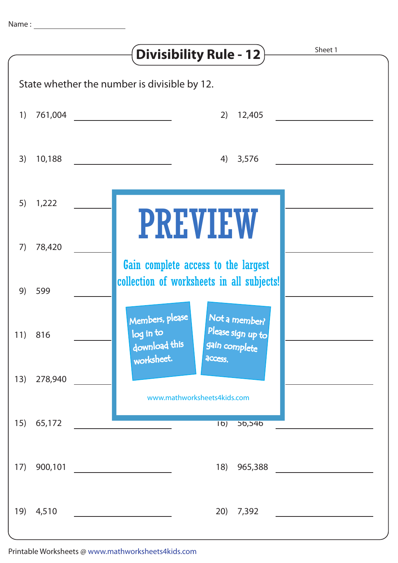|                                              |            | Sheet 1<br><b>Divisibility Rule - 12</b>                                                                                      |
|----------------------------------------------|------------|-------------------------------------------------------------------------------------------------------------------------------|
| State whether the number is divisible by 12. |            |                                                                                                                               |
| 1)                                           |            | 761,004<br>2)<br>$12,405$                                                                                                     |
| 3)                                           | 10,188     | 4) 3,576                                                                                                                      |
|                                              | $5)$ 1,222 | <b>PREVIEW</b>                                                                                                                |
| 7)                                           | 78,420     | Gain complete access to the largest                                                                                           |
|                                              | 9) 599     | collection of worksheets in all subjects!                                                                                     |
|                                              | 11) 816    | Members, please<br>Not a member?<br>Please sign up to<br>log in to<br>download this<br>gain complete<br>worksheet.<br>access. |
| 13)                                          | 278,940    | www.mathworksheets4kids.com                                                                                                   |
| 15)                                          | 65,172     | $\overline{16)}$<br>56,546                                                                                                    |
| 17)                                          | 900,101    | 18)<br>965,388                                                                                                                |
| 19)                                          | 4,510      | 20)<br>7,392                                                                                                                  |